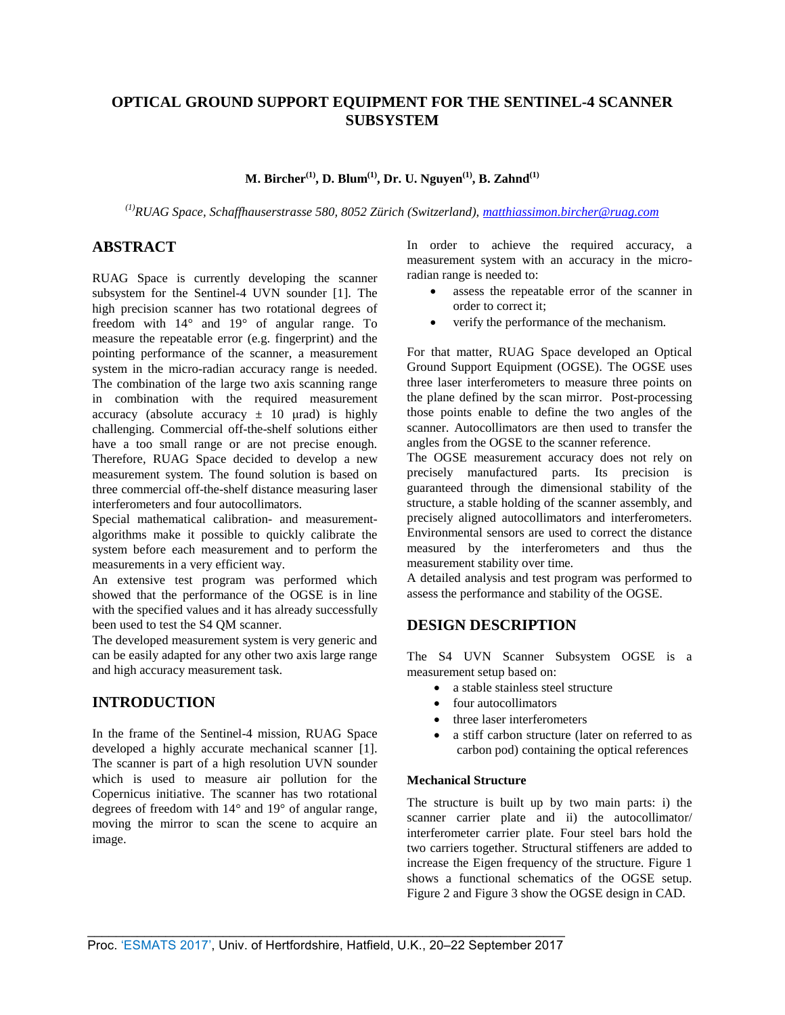# **OPTICAL GROUND SUPPORT EQUIPMENT FOR THE SENTINEL-4 SCANNER SUBSYSTEM**

**M. Bircher(1) , D. Blum(1) , Dr. U. Nguyen(1), B. Zahnd(1)**

*(1)RUAG Space, Schaffhauserstrasse 580, 8052 Zürich (Switzerland)[, matthiassimon.bircher@ruag.com](mailto:matthiassimon.bircher@ruag.com)*

# **ABSTRACT**

RUAG Space is currently developing the scanner subsystem for the Sentinel-4 UVN sounder [1]. The high precision scanner has two rotational degrees of freedom with 14° and 19° of angular range. To measure the repeatable error (e.g. fingerprint) and the pointing performance of the scanner, a measurement system in the micro-radian accuracy range is needed. The combination of the large two axis scanning range in combination with the required measurement accuracy (absolute accuracy  $\pm$  10  $\mu$ rad) is highly challenging. Commercial off-the-shelf solutions either have a too small range or are not precise enough. Therefore, RUAG Space decided to develop a new measurement system. The found solution is based on three commercial off-the-shelf distance measuring laser interferometers and four autocollimators.

Special mathematical calibration- and measurementalgorithms make it possible to quickly calibrate the system before each measurement and to perform the measurements in a very efficient way.

An extensive test program was performed which showed that the performance of the OGSE is in line with the specified values and it has already successfully been used to test the S4 QM scanner.

The developed measurement system is very generic and can be easily adapted for any other two axis large range and high accuracy measurement task.

# **INTRODUCTION**

In the frame of the Sentinel-4 mission, RUAG Space developed a highly accurate mechanical scanner [1]. The scanner is part of a high resolution UVN sounder which is used to measure air pollution for the Copernicus initiative. The scanner has two rotational degrees of freedom with 14° and 19° of angular range, moving the mirror to scan the scene to acquire an image.

In order to achieve the required accuracy, a measurement system with an accuracy in the microradian range is needed to:

- assess the repeatable error of the scanner in order to correct it;
- verify the performance of the mechanism.

For that matter, RUAG Space developed an Optical Ground Support Equipment (OGSE). The OGSE uses three laser interferometers to measure three points on the plane defined by the scan mirror. Post-processing those points enable to define the two angles of the scanner. Autocollimators are then used to transfer the angles from the OGSE to the scanner reference.

The OGSE measurement accuracy does not rely on precisely manufactured parts. Its precision is guaranteed through the dimensional stability of the structure, a stable holding of the scanner assembly, and precisely aligned autocollimators and interferometers. Environmental sensors are used to correct the distance measured by the interferometers and thus the measurement stability over time.

A detailed analysis and test program was performed to assess the performance and stability of the OGSE.

# **DESIGN DESCRIPTION**

The S4 UVN Scanner Subsystem OGSE is a measurement setup based on:

- a stable stainless steel structure
- four autocollimators
- three laser interferometers
- a stiff carbon structure (later on referred to as carbon pod) containing the optical references

## **Mechanical Structure**

The structure is built up by two main parts: i) the scanner carrier plate and ii) the autocollimator/ interferometer carrier plate. Four steel bars hold the two carriers together. Structural stiffeners are added to increase the Eigen frequency of the structure. [Figure 1](#page-1-0) shows a functional schematics of the OGSE setup. [Figure 2](#page-1-1) and [Figure 3](#page-1-2) show the OGSE design in CAD.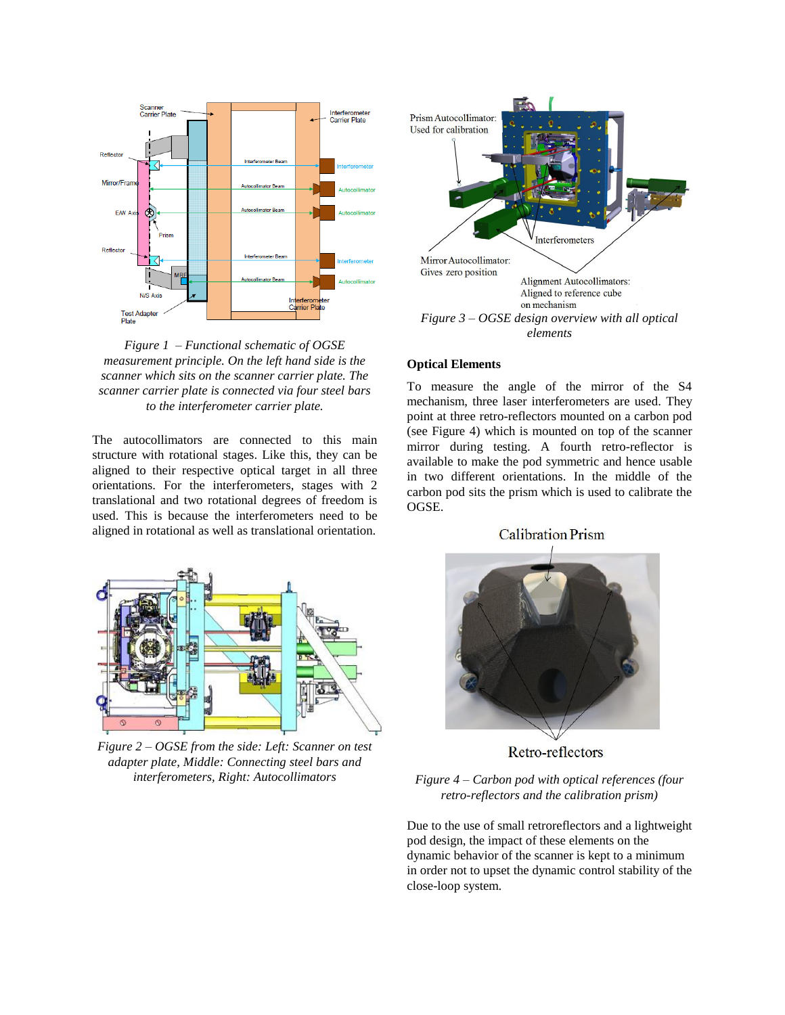

<span id="page-1-0"></span>*Figure 1 – Functional schematic of OGSE measurement principle. On the left hand side is the scanner which sits on the scanner carrier plate. The scanner carrier plate is connected via four steel bars to the interferometer carrier plate.*

The autocollimators are connected to this main structure with rotational stages. Like this, they can be aligned to their respective optical target in all three orientations. For the interferometers, stages with 2 translational and two rotational degrees of freedom is used. This is because the interferometers need to be aligned in rotational as well as translational orientation.



<span id="page-1-1"></span>*Figure 2 – OGSE from the side: Left: Scanner on test adapter plate, Middle: Connecting steel bars and interferometers, Right: Autocollimators*



#### <span id="page-1-2"></span>**Optical Elements**

To measure the angle of the mirror of the S4 mechanism, three laser interferometers are used. They point at three retro-reflectors mounted on a carbon pod (see [Figure 4\)](#page-1-3) which is mounted on top of the scanner mirror during testing. A fourth retro-reflector is available to make the pod symmetric and hence usable in two different orientations. In the middle of the carbon pod sits the prism which is used to calibrate the OGSE.



Retro-reflectors

<span id="page-1-3"></span>*Figure 4 – Carbon pod with optical references (four retro-reflectors and the calibration prism)*

Due to the use of small retroreflectors and a lightweight pod design, the impact of these elements on the dynamic behavior of the scanner is kept to a minimum in order not to upset the dynamic control stability of the close-loop system.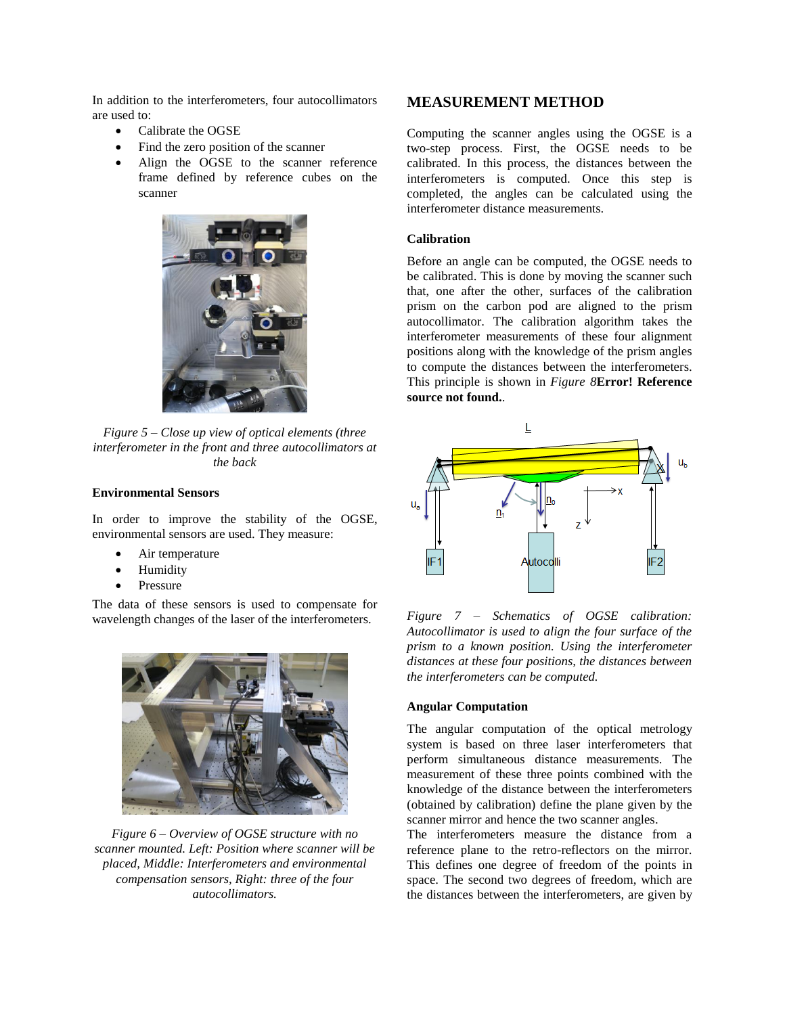In addition to the interferometers, four autocollimators are used to:

- Calibrate the OGSE
- Find the zero position of the scanner
- Align the OGSE to the scanner reference frame defined by reference cubes on the scanner



*Figure 5 – Close up view of optical elements (three interferometer in the front and three autocollimators at the back*

### **Environmental Sensors**

In order to improve the stability of the OGSE, environmental sensors are used. They measure:

- Air temperature
- Humidity
- Pressure

The data of these sensors is used to compensate for wavelength changes of the laser of the interferometers.



*Figure 6 – Overview of OGSE structure with no scanner mounted. Left: Position where scanner will be placed, Middle: Interferometers and environmental compensation sensors, Right: three of the four autocollimators.*

### **MEASUREMENT METHOD**

Computing the scanner angles using the OGSE is a two-step process. First, the OGSE needs to be calibrated. In this process, the distances between the interferometers is computed. Once this step is completed, the angles can be calculated using the interferometer distance measurements.

### **Calibration**

Before an angle can be computed, the OGSE needs to be calibrated. This is done by moving the scanner such that, one after the other, surfaces of the calibration prism on the carbon pod are aligned to the prism autocollimator. The calibration algorithm takes the interferometer measurements of these four alignment positions along with the knowledge of the prism angles to compute the distances between the interferometers. This principle is shown in *[Figure 8](#page-3-0)***[Error! Reference](#page-3-0)  source not found.**.



*Figure 7 – Schematics of OGSE calibration: Autocollimator is used to align the four surface of the prism to a known position. Using the interferometer distances at these four positions, the distances between the interferometers can be computed.*

#### **Angular Computation**

The angular computation of the optical metrology system is based on three laser interferometers that perform simultaneous distance measurements. The measurement of these three points combined with the knowledge of the distance between the interferometers (obtained by calibration) define the plane given by the scanner mirror and hence the two scanner angles.

The interferometers measure the distance from a reference plane to the retro-reflectors on the mirror. This defines one degree of freedom of the points in space. The second two degrees of freedom, which are the distances between the interferometers, are given by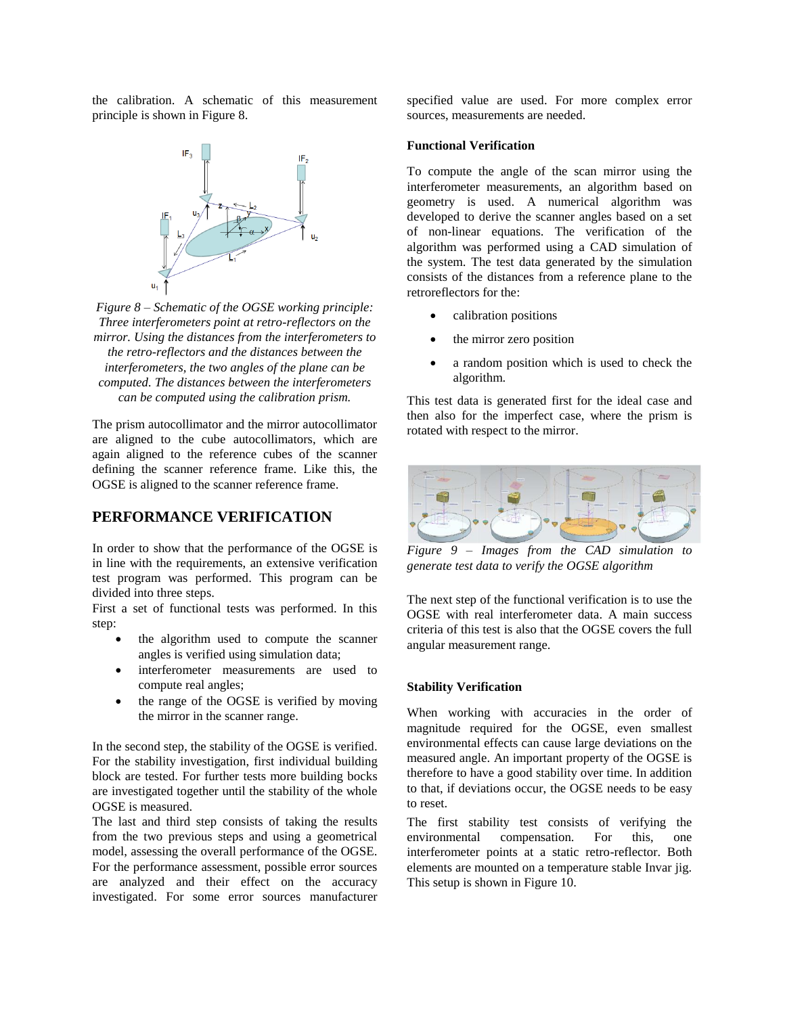the calibration. A schematic of this measurement principle is shown i[n Figure 8.](#page-3-0)



<span id="page-3-0"></span>*Figure 8 – Schematic of the OGSE working principle: Three interferometers point at retro-reflectors on the mirror. Using the distances from the interferometers to the retro-reflectors and the distances between the interferometers, the two angles of the plane can be computed. The distances between the interferometers can be computed using the calibration prism.*

The prism autocollimator and the mirror autocollimator are aligned to the cube autocollimators, which are again aligned to the reference cubes of the scanner defining the scanner reference frame. Like this, the OGSE is aligned to the scanner reference frame.

### **PERFORMANCE VERIFICATION**

In order to show that the performance of the OGSE is in line with the requirements, an extensive verification test program was performed. This program can be divided into three steps.

First a set of functional tests was performed. In this step:

- the algorithm used to compute the scanner angles is verified using simulation data;
- interferometer measurements are used to compute real angles;
- the range of the OGSE is verified by moving the mirror in the scanner range.

In the second step, the stability of the OGSE is verified. For the stability investigation, first individual building block are tested. For further tests more building bocks are investigated together until the stability of the whole OGSE is measured.

The last and third step consists of taking the results from the two previous steps and using a geometrical model, assessing the overall performance of the OGSE. For the performance assessment, possible error sources are analyzed and their effect on the accuracy investigated. For some error sources manufacturer specified value are used. For more complex error sources, measurements are needed.

#### **Functional Verification**

To compute the angle of the scan mirror using the interferometer measurements, an algorithm based on geometry is used. A numerical algorithm was developed to derive the scanner angles based on a set of non-linear equations. The verification of the algorithm was performed using a CAD simulation of the system. The test data generated by the simulation consists of the distances from a reference plane to the retroreflectors for the:

- calibration positions
- the mirror zero position
- a random position which is used to check the algorithm.

This test data is generated first for the ideal case and then also for the imperfect case, where the prism is rotated with respect to the mirror.



*Figure 9 – Images from the CAD simulation to generate test data to verify the OGSE algorithm*

The next step of the functional verification is to use the OGSE with real interferometer data. A main success criteria of this test is also that the OGSE covers the full angular measurement range.

#### **Stability Verification**

When working with accuracies in the order of magnitude required for the OGSE, even smallest environmental effects can cause large deviations on the measured angle. An important property of the OGSE is therefore to have a good stability over time. In addition to that, if deviations occur, the OGSE needs to be easy to reset.

The first stability test consists of verifying the environmental compensation. For this, one interferometer points at a static retro-reflector. Both elements are mounted on a temperature stable Invar jig. This setup is shown in [Figure 10.](#page-4-0)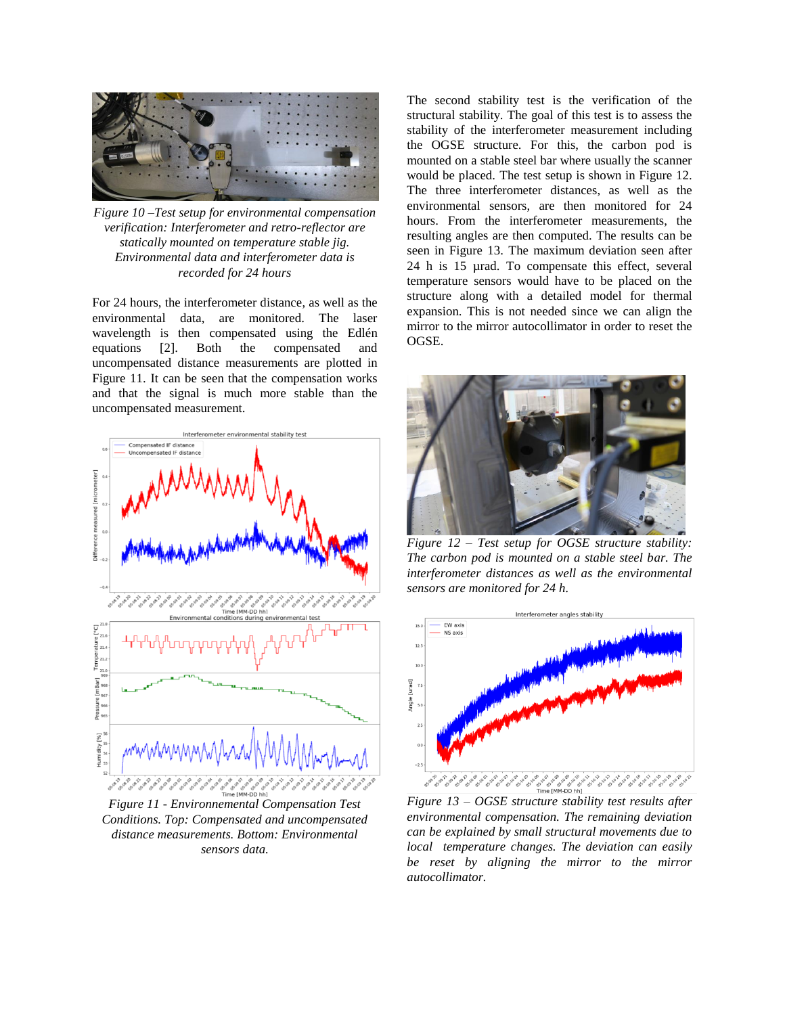

*Figure 10 –Test setup for environmental compensation verification: Interferometer and retro-reflector are statically mounted on temperature stable jig. Environmental data and interferometer data is recorded for 24 hours*

<span id="page-4-0"></span>For 24 hours, the interferometer distance, as well as the environmental data, are monitored. The laser wavelength is then compensated using the Edlén equations [2]. Both the compensated and uncompensated distance measurements are plotted in [Figure 11.](#page-4-1) It can be seen that the compensation works and that the signal is much more stable than the uncompensated measurement.



<span id="page-4-1"></span>*Figure 11 - Environnemental Compensation Test Conditions. Top: Compensated and uncompensated distance measurements. Bottom: Environmental sensors data.*

The second stability test is the verification of the structural stability. The goal of this test is to assess the stability of the interferometer measurement including the OGSE structure. For this, the carbon pod is mounted on a stable steel bar where usually the scanner would be placed. The test setup is shown in [Figure 12.](#page-4-2) The three interferometer distances, as well as the environmental sensors, are then monitored for 24 hours. From the interferometer measurements, the resulting angles are then computed. The results can be seen in [Figure 13.](#page-4-3) The maximum deviation seen after 24 h is 15 µrad. To compensate this effect, several temperature sensors would have to be placed on the structure along with a detailed model for thermal expansion. This is not needed since we can align the mirror to the mirror autocollimator in order to reset the OGSE.



*Figure 12 – Test setup for OGSE structure stability: The carbon pod is mounted on a stable steel bar. The interferometer distances as well as the environmental sensors are monitored for 24 h.*

<span id="page-4-2"></span>

<span id="page-4-3"></span>*Figure 13 – OGSE structure stability test results after environmental compensation. The remaining deviation can be explained by small structural movements due to local temperature changes. The deviation can easily be reset by aligning the mirror to the mirror autocollimator.*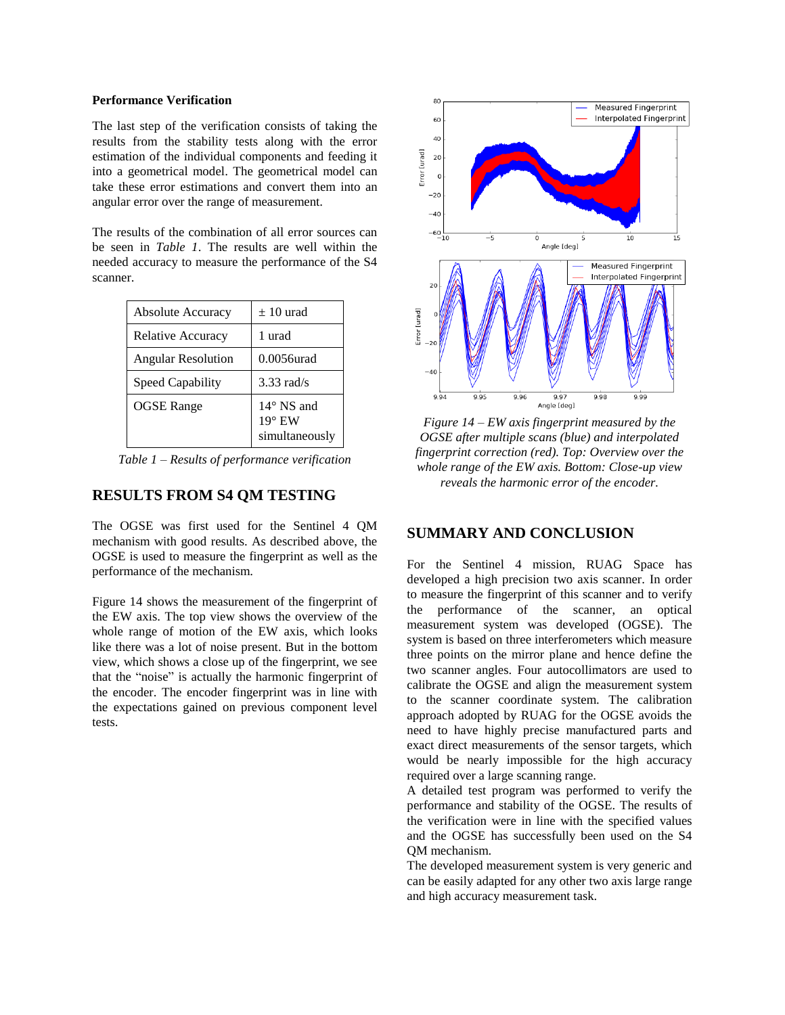#### **Performance Verification**

The last step of the verification consists of taking the results from the stability tests along with the error estimation of the individual components and feeding it into a geometrical model. The geometrical model can take these error estimations and convert them into an angular error over the range of measurement.

The results of the combination of all error sources can be seen in *[Table 1](#page-5-0)*. The results are well within the needed accuracy to measure the performance of the S4 scanner.

| <b>Absolute Accuracy</b>  | $\pm 10$ urad                                 |
|---------------------------|-----------------------------------------------|
| Relative Accuracy         | 1 urad                                        |
| <b>Angular Resolution</b> | 0.0056urad                                    |
| Speed Capability          | $3.33$ rad/s                                  |
| <b>OGSE</b> Range         | 14° NS and<br>$19^\circ$ EW<br>simultaneously |

<span id="page-5-0"></span>*Table 1 – Results of performance verification*

### **RESULTS FROM S4 QM TESTING**

The OGSE was first used for the Sentinel 4 QM mechanism with good results. As described above, the OGSE is used to measure the fingerprint as well as the performance of the mechanism.

[Figure 14](#page-5-1) shows the measurement of the fingerprint of the EW axis. The top view shows the overview of the whole range of motion of the EW axis, which looks like there was a lot of noise present. But in the bottom view, which shows a close up of the fingerprint, we see that the "noise" is actually the harmonic fingerprint of the encoder. The encoder fingerprint was in line with the expectations gained on previous component level tests.



<span id="page-5-1"></span>*Figure 14 – EW axis fingerprint measured by the OGSE after multiple scans (blue) and interpolated fingerprint correction (red). Top: Overview over the whole range of the EW axis. Bottom: Close-up view reveals the harmonic error of the encoder.*

### **SUMMARY AND CONCLUSION**

For the Sentinel 4 mission, RUAG Space has developed a high precision two axis scanner. In order to measure the fingerprint of this scanner and to verify the performance of the scanner, an optical measurement system was developed (OGSE). The system is based on three interferometers which measure three points on the mirror plane and hence define the two scanner angles. Four autocollimators are used to calibrate the OGSE and align the measurement system to the scanner coordinate system. The calibration approach adopted by RUAG for the OGSE avoids the need to have highly precise manufactured parts and exact direct measurements of the sensor targets, which would be nearly impossible for the high accuracy required over a large scanning range.

A detailed test program was performed to verify the performance and stability of the OGSE. The results of the verification were in line with the specified values and the OGSE has successfully been used on the S4 QM mechanism.

The developed measurement system is very generic and can be easily adapted for any other two axis large range and high accuracy measurement task.